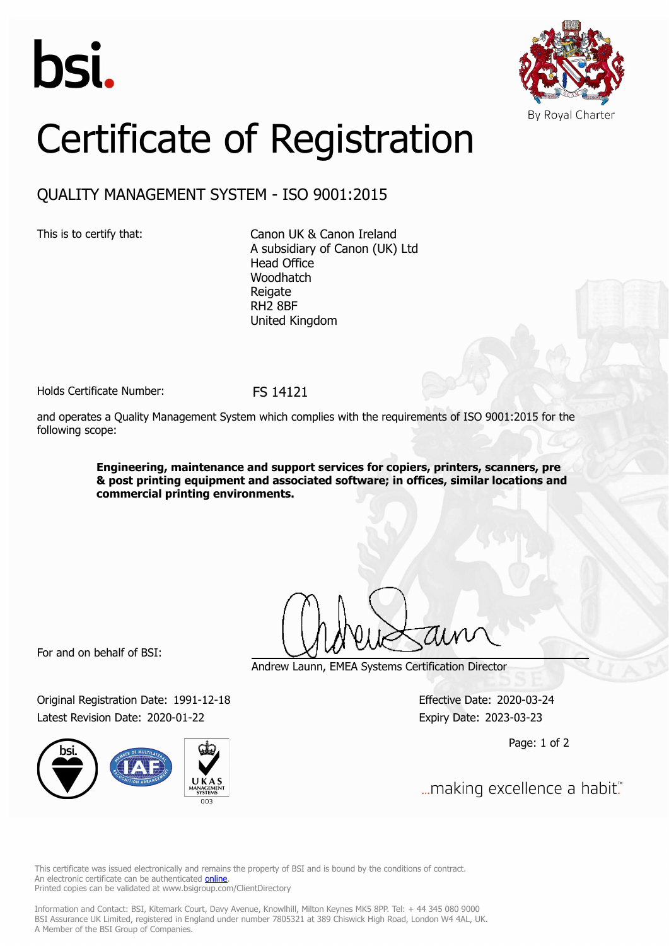



## Certificate of Registration

## QUALITY MANAGEMENT SYSTEM - ISO 9001:2015

This is to certify that: Canon UK & Canon Ireland A subsidiary of Canon (UK) Ltd Head Office Woodhatch **Reigate** RH2 8BF United Kingdom

Holds Certificate Number: FS 14121

and operates a Quality Management System which complies with the requirements of ISO 9001:2015 for the following scope:

> **Engineering, maintenance and support services for copiers, printers, scanners, pre & post printing equipment and associated software; in offices, similar locations and commercial printing environments.**

For and on behalf of BSI:

Original Registration Date: 1991-12-18 Effective Date: 2020-03-24 Latest Revision Date: 2020-01-22 Expiry Date: 2023-03-23



Andrew Launn, EMEA Systems Certification Director

Page: 1 of 2

... making excellence a habit."

This certificate was issued electronically and remains the property of BSI and is bound by the conditions of contract. An electronic certificate can be authenticated **[online](https://pgplus.bsigroup.com/CertificateValidation/CertificateValidator.aspx?CertificateNumber=FS+14121&ReIssueDate=22%2f01%2f2020&Template=uk)**. Printed copies can be validated at www.bsigroup.com/ClientDirectory

Information and Contact: BSI, Kitemark Court, Davy Avenue, Knowlhill, Milton Keynes MK5 8PP. Tel: + 44 345 080 9000 BSI Assurance UK Limited, registered in England under number 7805321 at 389 Chiswick High Road, London W4 4AL, UK. A Member of the BSI Group of Companies.